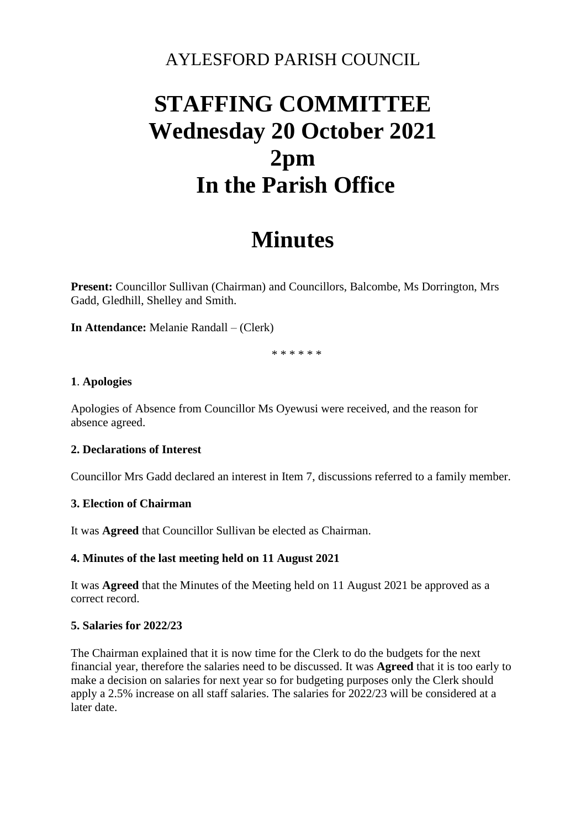### AYLESFORD PARISH COUNCIL

# **STAFFING COMMITTEE Wednesday 20 October 2021 2pm In the Parish Office**

## **Minutes**

**Present:** Councillor Sullivan (Chairman) and Councillors, Balcombe, Ms Dorrington, Mrs Gadd, Gledhill, Shelley and Smith.

**In Attendance:** Melanie Randall – (Clerk)

\* \* \* \* \* \*

#### **1**. **Apologies**

Apologies of Absence from Councillor Ms Oyewusi were received, and the reason for absence agreed.

#### **2. Declarations of Interest**

Councillor Mrs Gadd declared an interest in Item 7, discussions referred to a family member.

#### **3. Election of Chairman**

It was **Agreed** that Councillor Sullivan be elected as Chairman.

#### **4. Minutes of the last meeting held on 11 August 2021**

It was **Agreed** that the Minutes of the Meeting held on 11 August 2021 be approved as a correct record.

#### **5. Salaries for 2022/23**

The Chairman explained that it is now time for the Clerk to do the budgets for the next financial year, therefore the salaries need to be discussed. It was **Agreed** that it is too early to make a decision on salaries for next year so for budgeting purposes only the Clerk should apply a 2.5% increase on all staff salaries. The salaries for 2022/23 will be considered at a later date.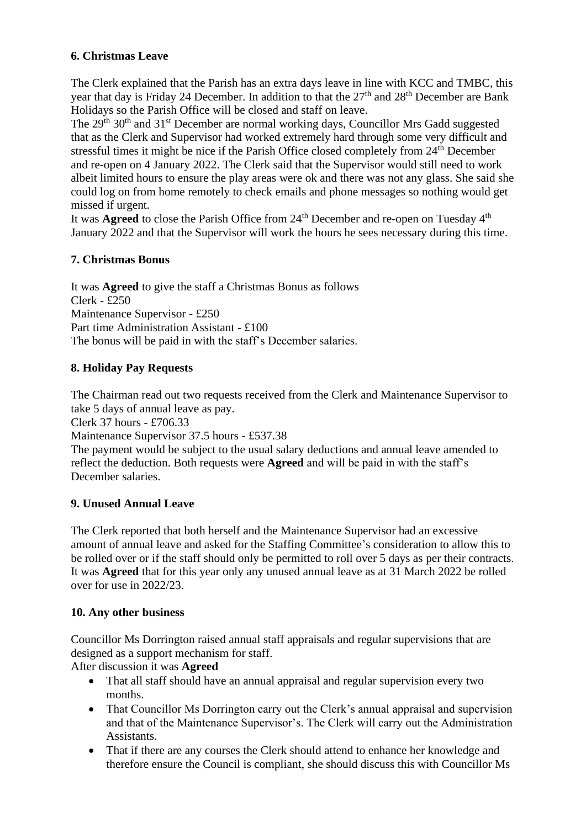#### **6. Christmas Leave**

The Clerk explained that the Parish has an extra days leave in line with KCC and TMBC, this year that day is Friday 24 December. In addition to that the  $27<sup>th</sup>$  and  $28<sup>th</sup>$  December are Bank Holidays so the Parish Office will be closed and staff on leave.

The 29<sup>th</sup> 30<sup>th</sup> and 31<sup>st</sup> December are normal working days, Councillor Mrs Gadd suggested that as the Clerk and Supervisor had worked extremely hard through some very difficult and stressful times it might be nice if the Parish Office closed completely from 24<sup>th</sup> December and re-open on 4 January 2022. The Clerk said that the Supervisor would still need to work albeit limited hours to ensure the play areas were ok and there was not any glass. She said she could log on from home remotely to check emails and phone messages so nothing would get missed if urgent.

It was **Agreed** to close the Parish Office from 24<sup>th</sup> December and re-open on Tuesday 4<sup>th</sup> January 2022 and that the Supervisor will work the hours he sees necessary during this time.

#### **7. Christmas Bonus**

It was **Agreed** to give the staff a Christmas Bonus as follows Clerk - £250 Maintenance Supervisor - £250 Part time Administration Assistant - £100 The bonus will be paid in with the staff's December salaries.

#### **8. Holiday Pay Requests**

The Chairman read out two requests received from the Clerk and Maintenance Supervisor to take 5 days of annual leave as pay.

Clerk 37 hours - £706.33

Maintenance Supervisor 37.5 hours - £537.38

The payment would be subject to the usual salary deductions and annual leave amended to reflect the deduction. Both requests were **Agreed** and will be paid in with the staff's December salaries.

#### **9. Unused Annual Leave**

The Clerk reported that both herself and the Maintenance Supervisor had an excessive amount of annual leave and asked for the Staffing Committee's consideration to allow this to be rolled over or if the staff should only be permitted to roll over 5 days as per their contracts. It was **Agreed** that for this year only any unused annual leave as at 31 March 2022 be rolled over for use in 2022/23.

#### **10. Any other business**

Councillor Ms Dorrington raised annual staff appraisals and regular supervisions that are designed as a support mechanism for staff.

After discussion it was **Agreed**

- That all staff should have an annual appraisal and regular supervision every two months.
- That Councillor Ms Dorrington carry out the Clerk's annual appraisal and supervision and that of the Maintenance Supervisor's. The Clerk will carry out the Administration Assistants.
- That if there are any courses the Clerk should attend to enhance her knowledge and therefore ensure the Council is compliant, she should discuss this with Councillor Ms